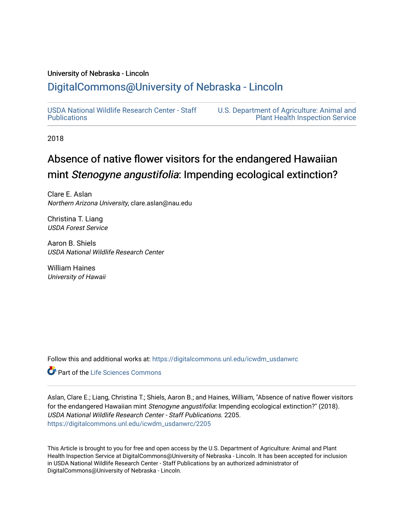# University of Nebraska - Lincoln

# [DigitalCommons@University of Nebraska - Lincoln](https://digitalcommons.unl.edu/)

[USDA National Wildlife Research Center - Staff](https://digitalcommons.unl.edu/icwdm_usdanwrc)  [Publications](https://digitalcommons.unl.edu/icwdm_usdanwrc) 

[U.S. Department of Agriculture: Animal and](https://digitalcommons.unl.edu/usdaaphis)  [Plant Health Inspection Service](https://digitalcommons.unl.edu/usdaaphis) 

2018

# Absence of native flower visitors for the endangered Hawaiian mint Stenogyne angustifolia: Impending ecological extinction?

Clare E. Aslan Northern Arizona University, clare.aslan@nau.edu

Christina T. Liang USDA Forest Service

Aaron B. Shiels USDA National Wildlife Research Center

William Haines University of Hawaii

Follow this and additional works at: [https://digitalcommons.unl.edu/icwdm\\_usdanwrc](https://digitalcommons.unl.edu/icwdm_usdanwrc?utm_source=digitalcommons.unl.edu%2Ficwdm_usdanwrc%2F2205&utm_medium=PDF&utm_campaign=PDFCoverPages)

Part of the [Life Sciences Commons](http://network.bepress.com/hgg/discipline/1016?utm_source=digitalcommons.unl.edu%2Ficwdm_usdanwrc%2F2205&utm_medium=PDF&utm_campaign=PDFCoverPages) 

Aslan, Clare E.; Liang, Christina T.; Shiels, Aaron B.; and Haines, William, "Absence of native flower visitors for the endangered Hawaiian mint Stenogyne angustifolia: Impending ecological extinction?" (2018). USDA National Wildlife Research Center - Staff Publications. 2205. [https://digitalcommons.unl.edu/icwdm\\_usdanwrc/2205](https://digitalcommons.unl.edu/icwdm_usdanwrc/2205?utm_source=digitalcommons.unl.edu%2Ficwdm_usdanwrc%2F2205&utm_medium=PDF&utm_campaign=PDFCoverPages) 

This Article is brought to you for free and open access by the U.S. Department of Agriculture: Animal and Plant Health Inspection Service at DigitalCommons@University of Nebraska - Lincoln. It has been accepted for inclusion in USDA National Wildlife Research Center - Staff Publications by an authorized administrator of DigitalCommons@University of Nebraska - Lincoln.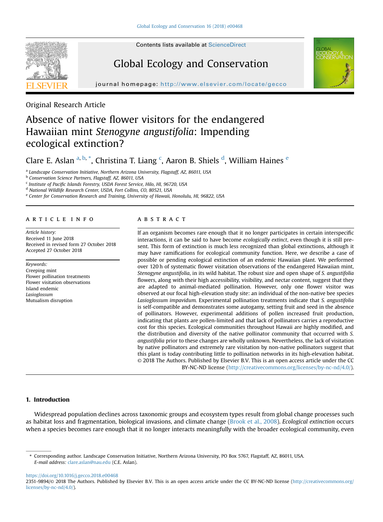

# Global Ecology and Conservation



journal homepage: http://www.elsevier.com/locate/gecom/locate/gecom/locate/gecom/locate/gecom/locate/gecom/locate/gec

Original Research Article

# Absence of native flower visitors for the endangered Hawaiian mint Stenogyne angustifolia: Impending ecological extinction?

Clare E. Aslan <sup>a, b,</sup> \*, Christina T. Liang <sup>c</sup>, Aaron B. Shiels <sup>d</sup>, William Haines <sup>e</sup>

<sup>a</sup> Landscape Conservation Initiative, Northern Arizona University, Flagstaff, AZ, 86011, USA

<sup>b</sup> Conservation Science Partners, Flagstaff, AZ, 86011, USA

<sup>c</sup> Institute of Pacific Islands Forestry, USDA Forest Service, Hilo, HI, 96720, USA

<sup>d</sup> National Wildlife Research Center, USDA, Fort Collins, CO, 80521, USA

e Center for Conservation Research and Training, University of Hawaii, Honolulu, HI, 96822, USA

# article info

Article history: Received 11 June 2018 Received in revised form 27 October 2018 Accepted 27 October 2018

Keywords: Creeping mint Flower pollination treatments Flower visitation observations Island endemic Lasioglossum Mutualism disruption

# **ABSTRACT**

If an organism becomes rare enough that it no longer participates in certain interspecific interactions, it can be said to have become ecologically extinct, even though it is still present. This form of extinction is much less recognized than global extinctions, although it may have ramifications for ecological community function. Here, we describe a case of possible or pending ecological extinction of an endemic Hawaiian plant. We performed over 120 h of systematic flower visitation observations of the endangered Hawaiian mint, Stenogyne angustifolia, in its wild habitat. The robust size and open shape of S. angustifolia flowers, along with their high accessibility, visibility, and nectar content, suggest that they are adapted to animal-mediated pollination. However, only one flower visitor was observed at our focal high-elevation study site: an individual of the non-native bee species Lasioglossum impavidum. Experimental pollination treatments indicate that S. angustifolia is self-compatible and demonstrates some autogamy, setting fruit and seed in the absence of pollinators. However, experimental additions of pollen increased fruit production, indicating that plants are pollen-limited and that lack of pollinators carries a reproductive cost for this species. Ecological communities throughout Hawaii are highly modified, and the distribution and diversity of the native pollinator community that occurred with S. angustifolia prior to these changes are wholly unknown. Nevertheless, the lack of visitation by native pollinators and extremely rare visitation by non-native pollinators suggest that this plant is today contributing little to pollination networks in its high-elevation habitat. © 2018 The Authors. Published by Elsevier B.V. This is an open access article under the CC BY-NC-ND license ([http://creativecommons.org/licenses/by-nc-nd/4.0/\)](http://creativecommons.org/licenses/by-nc-nd/4.0/).

# 1. Introduction

Widespread population declines across taxonomic groups and ecosystem types result from global change processes such as habitat loss and fragmentation, biological invasions, and climate change [\(Brook et al., 2008\)](#page-8-0). Ecological extinction occurs when a species becomes rare enough that it no longer interacts meaningfully with the broader ecological community, even

<https://doi.org/10.1016/j.gecco.2018.e00468>

<sup>\*</sup> Corresponding author. Landscape Conservation Initiative, Northern Arizona University, PO Box 5767, Flagstaff, AZ, 86011, USA. E-mail address: [clare.aslan@nau.edu](mailto:clare.aslan@nau.edu) (C.E. Aslan).

<sup>2351-9894/© 2018</sup> The Authors. Published by Elsevier B.V. This is an open access article under the CC BY-NC-ND license [\(http://creativecommons.org/](http://creativecommons.org/licenses/by-nc-nd/4.0/) [licenses/by-nc-nd/4.0/](http://creativecommons.org/licenses/by-nc-nd/4.0/)).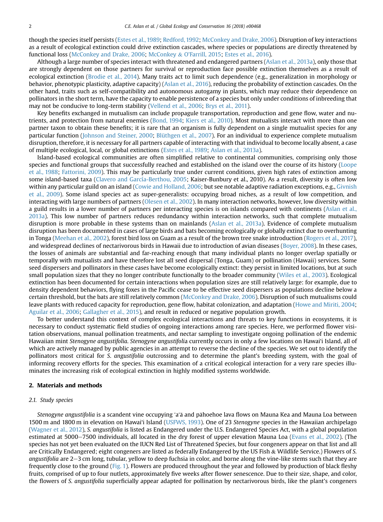though the species itself persists ([Estes et al., 1989](#page-8-0); [Redford, 1992;](#page-8-0) [McConkey and Drake, 2006\)](#page-8-0). Disruption of key interactions as a result of ecological extinction could drive extinction cascades, where species or populations are directly threatened by functional loss ([McConkey and Drake, 2006;](#page-8-0) [McConkey](#page-8-0) & [O'Farrill, 2015](#page-8-0); [Estes et al., 2016](#page-8-0)).

Although a large number of species interact with threatened and endangered partners [\(Aslan et al., 2013a\)](#page-7-0), only those that are strongly dependent on those partners for survival or reproduction face possible extinction themselves as a result of ecological extinction [\(Brodie et al., 2014](#page-8-0)). Many traits act to limit such dependence (e.g., generalization in morphology or behavior, phenotypic plasticity, adaptive capacity) ([Aslan et al., 2016](#page-7-0)), reducing the probability of extinction cascades. On the other hand, traits such as self-compatibility and autonomous autogamy in plants, which may reduce their dependence on pollinators in the short term, have the capacity to enable persistence of a species but only under conditions of inbreeding that may not be conducive to long-term stability ([Vellend et al., 2006](#page-8-0); [Brys et al., 2011\)](#page-7-0).

Key benefits exchanged in mutualism can include propagule transportation, reproduction and gene flow, water and nutrients, and protection from natural enemies ([Bond, 1994;](#page-7-0) [Kiers et al., 2010](#page-8-0)). Most mutualists interact with more than one partner taxon to obtain these benefits; it is rare that an organism is fully dependent on a single mutualist species for any particular function [\(Johnson and Steiner, 2000](#page-8-0); [Blüthgen et al., 2007\)](#page-7-0). For an individual to experience complete mutualism disruption, therefore, it is necessary for all partners capable of interacting with that individual to become locally absent, a case of multiple ecological, local, or global extinctions [\(Estes et al., 1989](#page-8-0); [Aslan et al., 2013a](#page-7-0)).

Island-based ecological communities are often simplified relative to continental communities, comprising only those species and functional groups that successfully reached and established on the island over the course of its history ([Loope](#page-8-0) [et al., 1988](#page-8-0); [Fattorini, 2009\)](#page-8-0). This may be particularly true under current conditions, given high rates of extinction among some island-based taxa [\(Clavero and García-Berthou, 2005](#page-7-0); Kaiser-Bunbury et al., 2010). As a result, diversity is often low within any particular guild on an island [\(Cowie and Holland, 2006;](#page-8-0) but see notable adaptive radiation exceptions, e.g., [Givnish](#page-8-0) [et al., 2009](#page-8-0)). Some island species act as super-generalists: occupying broad niches, as a result of low competition, and interacting with large numbers of partners ([Olesen et al., 2002\)](#page-7-0). In many interaction networks, however, low diversity within a guild results in a lower number of partners per interacting species is on islands compared with continents [\(Aslan et al.,](#page-7-0) [2013a\)](#page-7-0). This low number of partners reduces redundancy within interaction networks, such that complete mutualism disruption is more probable in these systems than on mainlands ([Aslan et al., 2013a\)](#page-7-0). Evidence of complete mutualism disruption has been documented in cases of large birds and bats becoming ecologically or globally extinct due to overhunting in Tonga ([Meehan et al., 2002\)](#page-8-0), forest bird loss on Guam as a result of the brown tree snake introduction [\(Rogers et al., 2017](#page-7-0)), and widespread declines of nectarivorous birds in Hawaii due to introduction of avian diseases [\(Boyer, 2008\)](#page-8-0). In these cases, the losses of animals are substantial and far-reaching enough that many individual plants no longer overlap spatially or temporally with mutualists and have therefore lost all seed dispersal (Tonga, Guam) or pollination (Hawaii) services. Some seed dispersers and pollinators in these cases have become ecologically extinct: they persist in limited locations, but at such small population sizes that they no longer contribute functionally to the broader community ([Wiles et al., 2003](#page-8-0)). Ecological extinction has been documented for certain interactions when population sizes are still relatively large: for example, due to density dependent behaviors, flying foxes in the Pacific cease to be effective seed dispersers as populations decline below a certain threshold, but the bats are still relatively common [\(McConkey and Drake, 2006\)](#page-8-0). Disruption of such mutualisms could leave plants with reduced capacity for reproduction, gene flow, habitat colonization, and adaptation ([Howe and Miriti, 2004;](#page-8-0) [Aguilar et al., 2006;](#page-7-0) [Gallagher et al., 2015\)](#page-8-0), and result in reduced or negative population growth.

To better understand this context of complex ecological interactions and threats to key functions in ecosystems, it is necessary to conduct systematic field studies of ongoing interactions among rare species. Here, we performed flower visitation observations, manual pollination treatments, and nectar sampling to investigate ongoing pollination of the endemic Hawaiian mint Stenogyne angustifolia. Stenogyne angustifolia currently occurs in only a few locations on Hawai'i Island, all of which are actively managed by public agencies in an attempt to reverse the decline of the species. We set out to identify the pollinators most critical for S. angustifolia outcrossing and to determine the plant's breeding system, with the goal of informing recovery efforts for the species. This examination of a critical ecological interaction for a very rare species illuminates the increasing risk of ecological extinction in highly modified systems worldwide.

### 2. Materials and methods

## 2.1. Study species

Stenogyne angustifolia is a scandent vine occupying 'a'ā and pāhoehoe lava flows on Mauna Kea and Mauna Loa between 1500 m and 1800 m in elevation on Hawai'i Island [\(USFWS, 1993](#page-8-0)). One of 23 Stenogyne species in the Hawaiian archipelago [\(Wagner et al., 2012\)](#page-8-0), S. angustifolia is listed as Endangered under the U.S. Endangered Species Act, with a global population estimated at 5000–7500 individuals, all located in the dry forest of upper elevation Mauna Loa ([Evans et al., 2002\)](#page-8-0). (The species has not yet been evaluated on the IUCN Red List of Threatened Species, but four congeners appear on that list and all are Critically Endangered; eight congeners are listed as federally Endangered by the US Fish & Wildlife Service.) Flowers of S. angustifolia are  $2-3$  cm long, tubular, yellow to deep fuchsia in color, and borne along the vine-like stems such that they are frequently close to the ground ([Fig. 1\)](#page-3-0). Flowers are produced throughout the year and followed by production of black fleshy fruits, comprised of up to four nutlets, approximately five weeks after flower senescence. Due to their size, shape, and color, the flowers of S. angustifolia superficially appear adapted for pollination by nectarivorous birds, like the plant's congeners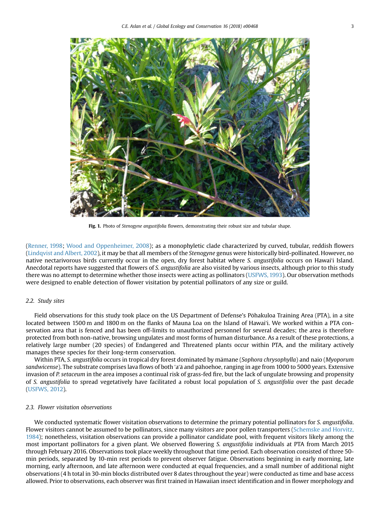<span id="page-3-0"></span>

Fig. 1. Photo of Stenogyne angustifolia flowers, demonstrating their robust size and tubular shape.

([Renner, 1998;](#page-8-0) [Wood and Oppenheimer, 2008](#page-8-0)); as a monophyletic clade characterized by curved, tubular, reddish flowers ([Lindqvist and Albert, 2002](#page-8-0)), it may be that all members of the Stenogyne genus were historically bird-pollinated. However, no native nectarivorous birds currently occur in the open, dry forest habitat where S. angustifolia occurs on Hawai'i Island. Anecdotal reports have suggested that flowers of S. angustifolia are also visited by various insects, although prior to this study there was no attempt to determine whether those insects were acting as pollinators ([USFWS, 1993](#page-8-0)). Our observation methods were designed to enable detection of flower visitation by potential pollinators of any size or guild.

# 2.2. Study sites

Field observations for this study took place on the US Department of Defense's Pohakuloa Training Area (PTA), in a site located between 1500 m and 1800 m on the flanks of Mauna Loa on the Island of Hawaiʻi. We worked within a PTA conservation area that is fenced and has been off-limits to unauthorized personnel for several decades; the area is therefore protected from both non-native, browsing ungulates and most forms of human disturbance. As a result of these protections, a relatively large number (20 species) of Endangered and Threatened plants occur within PTA, and the military actively manages these species for their long-term conservation.

Within PTA, S. angustifolia occurs in tropical dry forest dominated by mamane (Sophora chrysophylla) and naio (Myoporum sandwicense). The substrate comprises lava flows of both 'a'ā and p ahoehoe, ranging in age from 1000 to 5000 years. Extensive invasion of P. setaceum in the area imposes a continual risk of grass-fed fire, but the lack of ungulate browsing and propensity of S. angustifolia to spread vegetatively have facilitated a robust local population of S. angustifolia over the past decade ([USFWS, 2012\)](#page-8-0).

# 2.3. Flower visitation observations

We conducted systematic flower visitation observations to determine the primary potential pollinators for S. angustifolia. Flower visitors cannot be assumed to be pollinators, since many visitors are poor pollen transporters [\(Schemske and Horvitz,](#page-8-0) [1984](#page-8-0)); nonetheless, visitation observations can provide a pollinator candidate pool, with frequent visitors likely among the most important pollinators for a given plant. We observed flowering S. angustifolia individuals at PTA from March 2015 through February 2016. Observations took place weekly throughout that time period. Each observation consisted of three 50 min periods, separated by 10-min rest periods to prevent observer fatigue. Observations beginning in early morning, late morning, early afternoon, and late afternoon were conducted at equal frequencies, and a small number of additional night observations (4 h total in 30-min blocks distributed over 8 dates throughout the year) were conducted as time and base access allowed. Prior to observations, each observer was first trained in Hawaiian insect identification and in flower morphology and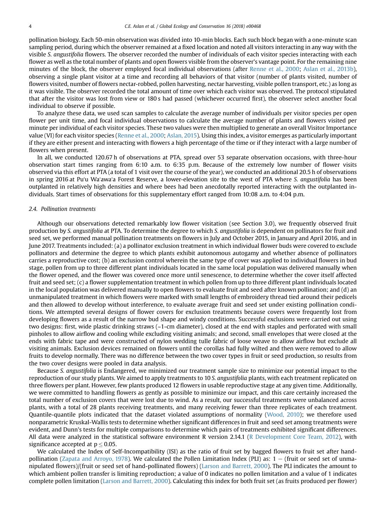pollination biology. Each 50-min observation was divided into 10-min blocks. Each such block began with a one-minute scan sampling period, during which the observer remained at a fixed location and noted all visitors interacting in any way with the visible S. angustifolia flowers. The observer recorded the number of individuals of each visitor species interacting with each flower as well as the total number of plants and open flowers visible from the observer's vantage point. For the remaining nine minutes of the block, the observer employed focal individual observations (after [Renne et al., 2000;](#page-8-0) [Aslan et al., 2013b](#page-7-0)), observing a single plant visitor at a time and recording all behaviors of that visitor (number of plants visited, number of flowers visited, number of flowers nectar-robbed, pollen harvesting, nectar harvesting, visible pollen transport, etc.) as long as it was visible. The observer recorded the total amount of time over which each visitor was observed. The protocol stipulated that after the visitor was lost from view or 180 s had passed (whichever occurred first), the observer select another focal individual to observe if possible.

To analyze these data, we used scan samples to calculate the average number of individuals per visitor species per open flower per unit time, and focal individual observations to calculate the average number of plants and flowers visited per minute per individual of each visitor species. These two values were then multiplied to generate an overall Visitor Importance value (VI) for each visitor species [\(Renne et al., 2000;](#page-8-0) [Aslan, 2015\)](#page-7-0). Using this index, a visitor emerges as particularly important if they are either present and interacting with flowers a high percentage of the time or if they interact with a large number of flowers when present.

In all, we conducted 120.67 h of observations at PTA, spread over 53 separate observation occasions, with three-hour observation start times ranging from 6:10 a.m. to 6:35 p.m. Because of the extremely low number of flower visits observed via this effort at PTA (a total of 1 visit over the course of the year), we conducted an additional 20.5 h of observations in spring 2016 at Puʻu Waʻawaʻa Forest Reserve, a lower-elevation site to the west of PTA where S. angustifolia has been outplanted in relatively high densities and where bees had been anecdotally reported interacting with the outplanted individuals. Start times of observations for this supplementary effort ranged from 10:08 a.m. to 4:04 p.m.

# 2.4. Pollination treatments

Although our observations detected remarkably low flower visitation (see Section 3.0), we frequently observed fruit production by S. angustifolia at PTA. To determine the degree to which S. angustifolia is dependent on pollinators for fruit and seed set, we performed manual pollination treatments on flowers in July and October 2015, in January and April 2016, and in June 2017. Treatments included: (a) a pollinator exclusion treatment in which individual flower buds were covered to exclude pollinators and determine the degree to which plants exhibit autonomous autogamy and whether absence of pollinators carries a reproductive cost; (b) an exclusion control wherein the same type of cover was applied to individual flowers in bud stage, pollen from up to three different plant individuals located in the same local population was delivered manually when the flower opened, and the flower was covered once more until senescence, to determine whether the cover itself affected fruit and seed set; (c) a flower supplementation treatment in which pollen from up to three different plant individuals located in the local population was delivered manually to open flowers to evaluate fruit and seed after known pollination; and (d) an unmanipulated treatment in which flowers were marked with small lengths of embroidery thread tied around their pedicels and then allowed to develop without interference, to evaluate average fruit and seed set under existing pollination conditions. We attempted several designs of flower covers for exclusion treatments because covers were frequently lost from developing flowers as a result of the narrow bud shape and windy conditions. Successful exclusions were carried out using two designs: first, wide plastic drinking straws (~1-cm diameter), closed at the end with staples and perforated with small pinholes to allow airflow and cooling while excluding visiting animals; and second, small envelopes that were closed at the ends with fabric tape and were constructed of nylon wedding tulle fabric of loose weave to allow airflow but exclude all visiting animals. Exclusion devices remained on flowers until the corollas had fully wilted and then were removed to allow fruits to develop normally. There was no difference between the two cover types in fruit or seed production, so results from the two cover designs were pooled in data analysis.

Because S. angustifolia is Endangered, we minimized our treatment sample size to minimize our potential impact to the reproduction of our study plants. We aimed to apply treatments to 10 S. angustifolia plants, with each treatment replicated on three flowers per plant. However, few plants produced 12 flowers in usable reproductive stage at any given time. Additionally, we were committed to handling flowers as gently as possible to minimize our impact, and this care certainly increased the total number of exclusion covers that were lost due to wind. As a result, our successful treatments were unbalanced across plants, with a total of 28 plants receiving treatments, and many receiving fewer than three replicates of each treatment. Quantile-quantile plots indicated that the dataset violated assumptions of normality ([Wood, 2010](#page-8-0)); we therefore used nonparametric Kruskal-Wallis tests to determine whether significant differences in fruit and seed set among treatments were evident, and Dunn's tests for multiple comparisons to determine which pairs of treatments exhibited significant differences. All data were analyzed in the statistical software environment R version 2.14.1 ([R Development Core Team, 2012\)](#page-7-0), with significance accepted at  $p < 0.05$ .

We calculated the Index of Self-Incompatibility (ISI) as the ratio of fruit set by bagged flowers to fruit set after hand-pollination [\(Zapata and Arroyo, 1978\)](#page-8-0). We calculated the Pollen Limitation Index (PLI) as:  $1 -$  (fruit or seed set of unmanipulated flowers)/(fruit or seed set of hand-pollinated flowers) ([Larson and Barrett, 2000](#page-8-0)). The PLI indicates the amount to which ambient pollen transfer is limiting reproduction; a value of 0 indicates no pollen limitation and a value of 1 indicates complete pollen limitation [\(Larson and Barrett, 2000\)](#page-8-0). Calculating this index for both fruit set (as fruits produced per flower)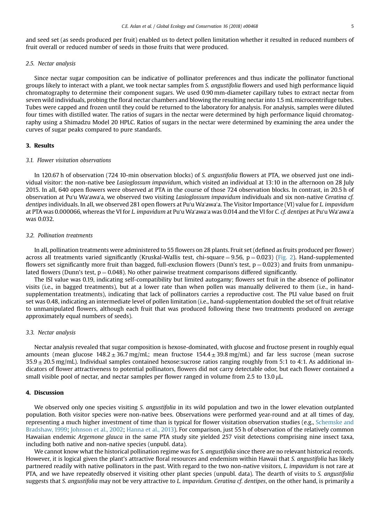and seed set (as seeds produced per fruit) enabled us to detect pollen limitation whether it resulted in reduced numbers of fruit overall or reduced number of seeds in those fruits that were produced.

# 2.5. Nectar analysis

Since nectar sugar composition can be indicative of pollinator preferences and thus indicate the pollinator functional groups likely to interact with a plant, we took nectar samples from S. angustifolia flowers and used high performance liquid chromatography to determine their component sugars. We used 0.90 mm-diameter capillary tubes to extract nectar from seven wild individuals, probing the floral nectar chambers and blowing the resulting nectar into 1.5 mL microcentrifuge tubes. Tubes were capped and frozen until they could be returned to the laboratory for analysis. For analysis, samples were diluted four times with distilled water. The ratios of sugars in the nectar were determined by high performance liquid chromatography using a Shimadzu Model 20 HPLC. Ratios of sugars in the nectar were determined by examining the area under the curves of sugar peaks compared to pure standards.

# 3. Results

# 3.1. Flower visitation observations

In 120.67 h of observation (724 10-min observation blocks) of S. angustifolia flowers at PTA, we observed just one individual visitor: the non-native bee Lasioglossum impavidum, which visited an individual at 13:10 in the afternoon on 28 July 2015. In all, 640 open flowers were observed at PTA in the course of those 724 observation blocks. In contrast, in 20.5 h of observation at Puʻu Waʻawaʻa, we observed two visiting Lasioglossum impavidum individuals and six non-native Ceratina cf. dentipes individuals. In all, we observed 281 open flowers at Puʻu Waʻawaʻa. The Visitor Importance (VI) value for L. impavidum at PTA was 0.000066, whereas the VI for L. impavidum at Puʻu Waʻawaʻa was 0.014 and the VI for C. cf. dentipes at Puʻu Waʻawaʻa was 0.032.

# 3.2. Pollination treatments

In all, pollination treatments were administered to 55 flowers on 28 plants. Fruit set (defined as fruits produced per flower) across all treatments varied significantly (Kruskal-Wallis test, chi-square = 9.56,  $p = 0.023$ ) [\(Fig. 2\)](#page-6-0). Hand-supplemented flowers set significantly more fruit than bagged, full-exclusion flowers (Dunn's test,  $p = 0.023$ ) and fruits from unmanipulated flowers (Dunn's test,  $p = 0.048$ ). No other pairwise treatment comparisons differed significantly.

The ISI value was 0.19, indicating self-compatibility but limited autogamy; flowers set fruit in the absence of pollinator visits (i.e., in bagged treatments), but at a lower rate than when pollen was manually delivered to them (i.e., in handsupplementation treatments), indicating that lack of pollinators carries a reproductive cost. The PLI value based on fruit set was 0.48, indicating an intermediate level of pollen limitation (i.e., hand-supplementation doubled the set of fruit relative to unmanipulated flowers, although each fruit that was produced following these two treatments produced on average approximately equal numbers of seeds).

# 3.3. Nectar analysis

Nectar analysis revealed that sugar composition is hexose-dominated, with glucose and fructose present in roughly equal amounts (mean glucose  $148.2 \pm 36.7$  mg/mL; mean fructose  $154.4 \pm 39.8$  mg/mL) and far less sucrose (mean sucrose  $35.9 \pm 20.5$  mg/mL). Individual samples contained hexose: sucrose ratios ranging roughly from 5:1 to 4:1. As additional indicators of flower attractiveness to potential pollinators, flowers did not carry detectable odor, but each flower contained a small visible pool of nectar, and nectar samples per flower ranged in volume from  $2.5$  to  $13.0 \mu L$ .

# 4. Discussion

We observed only one species visiting S. angustifolia in its wild population and two in the lower elevation outplanted population. Both visitor species were non-native bees. Observations were performed year-round and at all times of day, representing a much higher investment of time than is typical for flower visitation observation studies (e.g., [Schemske and](#page-8-0) [Bradshaw, 1999;](#page-8-0) [Johnson et al., 2002;](#page-8-0) [Hanna et al., 2013](#page-8-0)). For comparison, just 55 h of observation of the relatively common Hawaiian endemic Argemone glauca in the same PTA study site yielded 257 visit detections comprising nine insect taxa, including both native and non-native species (unpubl. data).

We cannot know what the historical pollination regime was for S. angustifolia since there are no relevant historical records. However, it is logical given the plant's attractive floral resources and endemism within Hawaii that S. angustifolia has likely partnered readily with native pollinators in the past. With regard to the two non-native visitors, L. impavidum is not rare at PTA, and we have repeatedly observed it visiting other plant species (unpubl. data). The dearth of visits to S. angustifolia suggests that S. angustifolia may not be very attractive to L. impavidum. Ceratina cf. dentipes, on the other hand, is primarily a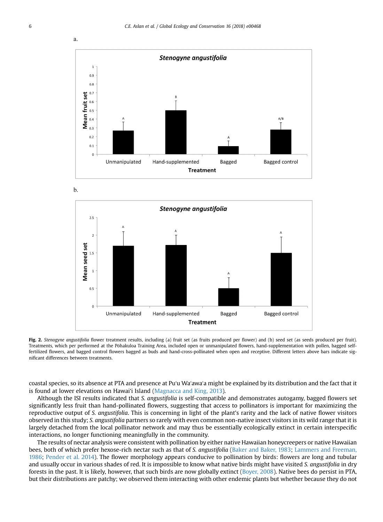<span id="page-6-0"></span>





Fig. 2. Stenogyne angustifolia flower treatment results, including (a) fruit set (as fruits produced per flower) and (b) seed set (as seeds produced per fruit). Treatments, which per performed at the Pohakuloa Training Area, included open or unmanipulated flowers, hand-supplementation with pollen, bagged selffertilized flowers, and bagged control flowers bagged as buds and hand-cross-pollinated when open and receptive. Different letters above bars indicate significant differences between treatments.

coastal species, so its absence at PTA and presence at Puʻu Waʻawaʻa might be explained by its distribution and the fact that it is found at lower elevations on Hawai'i Island ([Magnacca and King, 2013](#page-8-0)).

Although the ISI results indicated that S. angustifolia is self-compatible and demonstrates autogamy, bagged flowers set significantly less fruit than hand-pollinated flowers, suggesting that access to pollinators is important for maximizing the reproductive output of S. angustifolia. This is concerning in light of the plant's rarity and the lack of native flower visitors observed in this study; S. angustifolia partners so rarely with even common non-native insect visitors in its wild range that it is largely detached from the local pollinator network and may thus be essentially ecologically extinct in certain interspecific interactions, no longer functioning meaningfully in the community.

The results of nectar analysis were consistent with pollination by either native Hawaiian honeycreepers or native Hawaiian bees, both of which prefer hexose-rich nectar such as that of S. angustifolia ([Baker and Baker, 1983;](#page-7-0) [Lammers and Freeman,](#page-8-0) [1986;](#page-8-0) [Pender et al. 2014](#page-8-0)). The flower morphology appears conducive to pollination by birds: flowers are long and tubular and usually occur in various shades of red. It is impossible to know what native birds might have visited S. angustifolia in dry forests in the past. It is likely, however, that such birds are now globally extinct ([Boyer, 2008\)](#page-8-0). Native bees do persist in PTA, but their distributions are patchy; we observed them interacting with other endemic plants but whether because they do not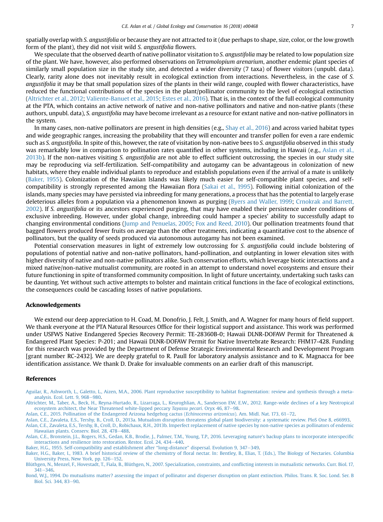<span id="page-7-0"></span>spatially overlap with S. angustifolia or because they are not attracted to it (due perhaps to shape, size, color, or the low growth form of the plant), they did not visit wild S. angustifolia flowers.

We speculate that the observed dearth of native pollinator visitation to S. angustifolia may be related to low population size of the plant. We have, however, also performed observations on Tetramolopium arenarium, another endemic plant species of similarly small population size in the study site, and detected a wider diversity (7 taxa) of flower visitors (unpubl. data). Clearly, rarity alone does not inevitably result in ecological extinction from interactions. Nevertheless, in the case of S. angustifolia it may be that small population sizes of the plants in their wild range, coupled with flower characteristics, have reduced the functional contributions of the species in the plant/pollinator community to the level of ecological extinction (Altrichter et al., 2012; [Valiente-Banuet et al., 2015;](#page-8-0) [Estes et al., 2016](#page-8-0)). That is, in the context of the full ecological community at the PTA, which contains an active network of native and non-native pollinators and native and non-native plants (these authors, unpubl. data), S. angustifolia may have become irrelevant as a resource for extant native and non-native pollinators in the system.

In many cases, non-native pollinators are present in high densities (e.g., [Shay et al., 2016](#page-8-0)) and across varied habitat types and wide geographic ranges, increasing the probability that they will encounter and transfer pollen for even a rare endemic such as S. angustifolia. In spite of this, however, the rate of visitation by non-native bees to S. angustifolia observed in this study was remarkably low in comparison to pollination rates quantified in other systems, including in Hawaii (e.g., Aslan et al., 2013b). If the non-natives visiting S. angustifolia are not able to effect sufficient outcrossing, the species in our study site may be reproducing via self-fertilization. Self-compatibility and autogamy can be advantageous in colonization of new habitats, where they enable individual plants to reproduce and establish populations even if the arrival of a mate is unlikely (Baker, 1955). Colonization of the Hawaiian Islands was likely much easier for self-compatible plant species, and selfcompatibility is strongly represented among the Hawaiian flora [\(Sakai et al., 1995\)](#page-8-0). Following initial colonization of the islands, many species may have persisted via inbreeding for many generations, a process that has the potential to largely erase deleterious alleles from a population via a phenomenon known as purging [\(Byers and Waller, 1999](#page-8-0); [Crnokrak and Barrett,](#page-8-0) [2002](#page-8-0)). If S. angustifolia or its ancestors experienced purging, that may have enabled their persistence under conditions of exclusive inbreeding. However, under global change, inbreeding could hamper a species' ability to successfully adapt to changing environmental conditions ([Jump and Penuelas, 2005](#page-8-0); [Fox and Reed, 2010\)](#page-8-0). Our pollination treatments found that bagged flowers produced fewer fruits on average than the other treatments, indicating a quantitative cost to the absence of pollinators, but the quality of seeds produced via autonomous autogamy has not been examined.

Potential conservation measures in light of extremely low outcrossing for S. angustifolia could include bolstering of populations of potential native and non-native pollinators, hand-pollination, and outplanting in lower elevation sites with higher diversity of native and non-native pollinators alike. Such conservation efforts, which leverage biotic interactions and a mixed native/non-native mutualist community, are rooted in an attempt to understand novel ecosystems and ensure their future functioning in spite of transformed community composition. In light of future uncertainty, undertaking such tasks can be daunting. Yet without such active attempts to bolster and maintain critical functions in the face of ecological extinctions, the consequences could be cascading losses of native populations.

# Acknowledgements

We extend our deep appreciation to H. Coad, M. Donofrio, J. Felt, J. Smith, and A. Wagner for many hours of field support. We thank everyone at the PTA Natural Resources Office for their logistical support and assistance. This work was performed under USFWS Native Endangered Species Recovery Permit: TE-28360B-0; Hawaii DLNR-DOFAW Permit for Threatened & Endangered Plant Species: P-201; and Hawaii DLNR-DOFAW Permit for Native Invertebrate Research: FHM17-428. Funding for this research was provided by the Department of Defense Strategic Environmental Research and Development Program [grant number RC-2432]. We are deeply grateful to R. Paull for laboratory analysis assistance and to K. Magnacca for bee identification assistance. We thank D. Drake for invaluable comments on an earlier draft of this manuscript.

#### References

[Aguilar, R., Ashworth, L., Galetto, L., Aizen, M.A., 2006. Plant reproductive susceptibility to habitat fragmentation: review and synthesis through a meta](http://refhub.elsevier.com/S2351-9894(18)30311-1/sref1)[analysis. Ecol. Lett. 9, 968](http://refhub.elsevier.com/S2351-9894(18)30311-1/sref1)-[980](http://refhub.elsevier.com/S2351-9894(18)30311-1/sref1).

[Altrichter, M., Taber, A., Beck, H., Reyna-Hurtado, R., Lizarraga, L., Keuroghlian, A., Sanderson EW, E.W., 2012. Range-wide declines of a key Neotropical](http://refhub.elsevier.com/S2351-9894(18)30311-1/sref2) [ecosystem architect, the Near Threatened white-lipped peccary](http://refhub.elsevier.com/S2351-9894(18)30311-1/sref2) Tayassu pecari. Oryx 46, 87-[98](http://refhub.elsevier.com/S2351-9894(18)30311-1/sref2).

[Aslan, C.E., 2015. Pollination of the Endangered Arizona hedgehog cactus \(](http://refhub.elsevier.com/S2351-9894(18)30311-1/sref3)Echinocereus arizonicus). Am. Midl. Nat. 173, 61-[72](http://refhub.elsevier.com/S2351-9894(18)30311-1/sref3).

[Aslan, C.E., Zavaleta, E.S., Tershy, B., Croll, D., 2013a. Mutualism disruption threatens global plant biodiversity: a systematic review. PloS One](http://refhub.elsevier.com/S2351-9894(18)30311-1/sref4) 8, e66993. [Aslan, C.E., Zavaleta, E.S., Tershy, B., Croll, D., Robichaux, R.H., 2013b. Imperfect replacement of native species by non-native species as pollinators of endemic](http://refhub.elsevier.com/S2351-9894(18)30311-1/sref5) [Hawaiian plants. Conserv. Biol. 28, 478](http://refhub.elsevier.com/S2351-9894(18)30311-1/sref5)-[488](http://refhub.elsevier.com/S2351-9894(18)30311-1/sref5).

[Aslan, C.E., Bronstein, J.L., Rogers, H.S., Gedan, K.B., Brodie, J., Palmer, T.M., Young, T.P., 2016. Leveraging nature's backup plans to incorporate interspeci](http://refhub.elsevier.com/S2351-9894(18)30311-1/sref6)fic [interactions and resilience into restoration. Restor. Ecol. 24, 434](http://refhub.elsevier.com/S2351-9894(18)30311-1/sref6)-[440](http://refhub.elsevier.com/S2351-9894(18)30311-1/sref6).

[Baker, H.G., 1955. Self-compatibility and establishment after](http://refhub.elsevier.com/S2351-9894(18)30311-1/sref7) "long-distance" dispersal. Evolution 9, 347–[349](http://refhub.elsevier.com/S2351-9894(18)30311-1/sref7).

Baker, H.G., Baker, I., 1983. A brief historical review of the chemistry of fl[oral nectar. In: Bentley, B., Elias, T. \(Eds.\), The Biology of Nectaries. Columbia](http://refhub.elsevier.com/S2351-9894(18)30311-1/sref8) [University Press, New York, pp. 126](http://refhub.elsevier.com/S2351-9894(18)30311-1/sref8)-[152.](http://refhub.elsevier.com/S2351-9894(18)30311-1/sref8)

[Blüthgen, N., Menzel, F., Hovestadt, T., Fiala, B., Blüthgen, N., 2007. Specialization, constraints, and con](http://refhub.elsevier.com/S2351-9894(18)30311-1/sref9)flicting interests in mutualistic networks. Curr. Biol. 17,  $341 - 346$  $341 - 346$ .

[Bond, W.J., 1994. Do mutualisms matter? assessing the impact of pollinator and disperser disruption on plant extinction. Philos. Trans. R. Soc. Lond. Ser. B](http://refhub.elsevier.com/S2351-9894(18)30311-1/sref10) [Biol. Sci. 344, 83](http://refhub.elsevier.com/S2351-9894(18)30311-1/sref10)-[90.](http://refhub.elsevier.com/S2351-9894(18)30311-1/sref10)